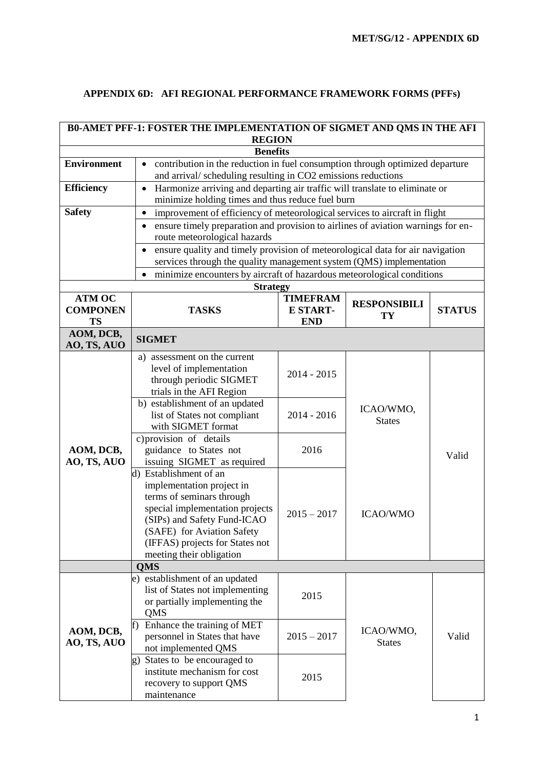## **APPENDIX 6D: AFI REGIONAL PERFORMANCE FRAMEWORK FORMS (PFFs)**

| B0-AMET PFF-1: FOSTER THE IMPLEMENTATION OF SIGMET AND QMS IN THE AFI |                                                                                                                                                                                                                                                                                                                                                                                                                                                 |                                                         |                                               |               |  |
|-----------------------------------------------------------------------|-------------------------------------------------------------------------------------------------------------------------------------------------------------------------------------------------------------------------------------------------------------------------------------------------------------------------------------------------------------------------------------------------------------------------------------------------|---------------------------------------------------------|-----------------------------------------------|---------------|--|
| <b>REGION</b>                                                         |                                                                                                                                                                                                                                                                                                                                                                                                                                                 |                                                         |                                               |               |  |
| <b>Benefits</b>                                                       |                                                                                                                                                                                                                                                                                                                                                                                                                                                 |                                                         |                                               |               |  |
| <b>Environment</b>                                                    | contribution in the reduction in fuel consumption through optimized departure<br>$\bullet$<br>and arrival/scheduling resulting in CO2 emissions reductions                                                                                                                                                                                                                                                                                      |                                                         |                                               |               |  |
| <b>Efficiency</b>                                                     | Harmonize arriving and departing air traffic will translate to eliminate or<br>$\bullet$                                                                                                                                                                                                                                                                                                                                                        |                                                         |                                               |               |  |
|                                                                       | minimize holding times and thus reduce fuel burn                                                                                                                                                                                                                                                                                                                                                                                                |                                                         |                                               |               |  |
| <b>Safety</b>                                                         | improvement of efficiency of meteorological services to aircraft in flight<br>$\bullet$                                                                                                                                                                                                                                                                                                                                                         |                                                         |                                               |               |  |
|                                                                       | ensure timely preparation and provision to airlines of aviation warnings for en-                                                                                                                                                                                                                                                                                                                                                                |                                                         |                                               |               |  |
|                                                                       | route meteorological hazards                                                                                                                                                                                                                                                                                                                                                                                                                    |                                                         |                                               |               |  |
|                                                                       | ensure quality and timely provision of meteorological data for air navigation<br>$\bullet$                                                                                                                                                                                                                                                                                                                                                      |                                                         |                                               |               |  |
|                                                                       | services through the quality management system (QMS) implementation                                                                                                                                                                                                                                                                                                                                                                             |                                                         |                                               |               |  |
|                                                                       | minimize encounters by aircraft of hazardous meteorological conditions                                                                                                                                                                                                                                                                                                                                                                          |                                                         |                                               |               |  |
|                                                                       | <b>Strategy</b>                                                                                                                                                                                                                                                                                                                                                                                                                                 |                                                         |                                               |               |  |
| <b>ATM OC</b><br><b>COMPONEN</b><br><b>TS</b>                         | <b>TASKS</b>                                                                                                                                                                                                                                                                                                                                                                                                                                    | <b>TIMEFRAM</b><br><b>E START-</b><br><b>END</b>        | <b>RESPONSIBILI</b><br>TY                     | <b>STATUS</b> |  |
| AOM, DCB,<br>AO, TS, AUO                                              | <b>SIGMET</b>                                                                                                                                                                                                                                                                                                                                                                                                                                   |                                                         |                                               |               |  |
| AOM, DCB,<br>AO, TS, AUO                                              | a) assessment on the current<br>level of implementation<br>through periodic SIGMET<br>trials in the AFI Region<br>b) establishment of an updated<br>list of States not compliant<br>with SIGMET format<br>c) provision of details<br>guidance to States not<br>issuing SIGMET as required<br>d) Establishment of an<br>implementation project in<br>terms of seminars through<br>special implementation projects<br>(SIPs) and Safety Fund-ICAO | $2014 - 2015$<br>$2014 - 2016$<br>2016<br>$2015 - 2017$ | ICAO/WMO,<br><b>States</b><br><b>ICAO/WMO</b> | Valid         |  |
|                                                                       | (SAFE) for Aviation Safety<br>(IFFAS) projects for States not<br>meeting their obligation<br><b>QMS</b>                                                                                                                                                                                                                                                                                                                                         |                                                         |                                               |               |  |
| AOM, DCB,<br>AO, TS, AUO                                              | e) establishment of an updated                                                                                                                                                                                                                                                                                                                                                                                                                  |                                                         |                                               |               |  |
|                                                                       | list of States not implementing<br>or partially implementing the<br>QMS                                                                                                                                                                                                                                                                                                                                                                         | 2015                                                    |                                               |               |  |
|                                                                       | Enhance the training of MET<br>lf)<br>personnel in States that have<br>not implemented QMS                                                                                                                                                                                                                                                                                                                                                      | $2015 - 2017$                                           | ICAO/WMO,<br><b>States</b>                    | Valid         |  |
|                                                                       | States to be encouraged to<br>g)<br>institute mechanism for cost<br>recovery to support QMS<br>maintenance                                                                                                                                                                                                                                                                                                                                      | 2015                                                    |                                               |               |  |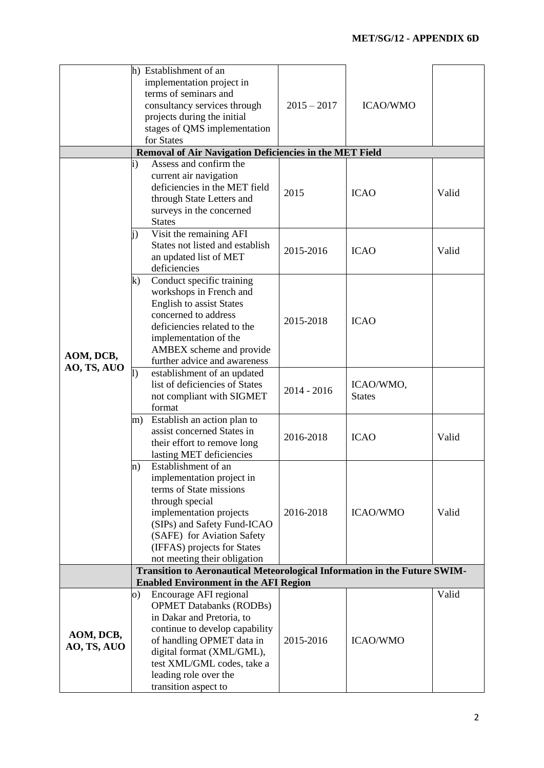|                                                                           | h) Establishment of an<br>implementation project in<br>terms of seminars and<br>consultancy services through<br>projects during the initial<br>stages of QMS implementation<br>for States                                                                                                                              | $2015 - 2017$ | <b>ICAO/WMO</b>            |       |  |
|---------------------------------------------------------------------------|------------------------------------------------------------------------------------------------------------------------------------------------------------------------------------------------------------------------------------------------------------------------------------------------------------------------|---------------|----------------------------|-------|--|
|                                                                           | Removal of Air Navigation Deficiencies in the MET Field                                                                                                                                                                                                                                                                |               |                            |       |  |
| AOM, DCB,<br>AO, TS, AUO                                                  | Assess and confirm the<br>$\mathbf{i}$<br>current air navigation<br>deficiencies in the MET field<br>through State Letters and<br>surveys in the concerned<br><b>States</b>                                                                                                                                            | 2015          | <b>ICAO</b>                | Valid |  |
|                                                                           | Visit the remaining AFI<br>$\mathbf{j}$<br>States not listed and establish<br>an updated list of MET<br>deficiencies                                                                                                                                                                                                   | 2015-2016     | <b>ICAO</b>                | Valid |  |
|                                                                           | Conduct specific training<br>k)<br>workshops in French and<br><b>English to assist States</b><br>concerned to address<br>deficiencies related to the<br>implementation of the<br>AMBEX scheme and provide<br>further advice and awareness                                                                              | 2015-2018     | <b>ICAO</b>                |       |  |
|                                                                           | establishment of an updated<br>$\vert$<br>list of deficiencies of States<br>not compliant with SIGMET<br>format                                                                                                                                                                                                        | $2014 - 2016$ | ICAO/WMO,<br><b>States</b> |       |  |
|                                                                           | Establish an action plan to<br>m)<br>assist concerned States in<br>their effort to remove long<br>lasting MET deficiencies                                                                                                                                                                                             | 2016-2018     | <b>ICAO</b>                | Valid |  |
|                                                                           | Establishment of an<br>$\mathbf{n}$<br>implementation project in<br>terms of State missions<br>through special<br>implementation projects<br>(SIPs) and Safety Fund-ICAO<br>(SAFE) for Aviation Safety<br>(IFFAS) projects for States<br>not meeting their obligation                                                  | 2016-2018     | <b>ICAO/WMO</b>            | Valid |  |
| Transition to Aeronautical Meteorological Information in the Future SWIM- |                                                                                                                                                                                                                                                                                                                        |               |                            |       |  |
| AOM, DCB,<br>AO, TS, AUO                                                  | <b>Enabled Environment in the AFI Region</b><br>Encourage AFI regional<br>O)<br><b>OPMET Databanks (RODBs)</b><br>in Dakar and Pretoria, to<br>continue to develop capability<br>of handling OPMET data in<br>digital format (XML/GML),<br>test XML/GML codes, take a<br>leading role over the<br>transition aspect to | 2015-2016     | <b>ICAO/WMO</b>            | Valid |  |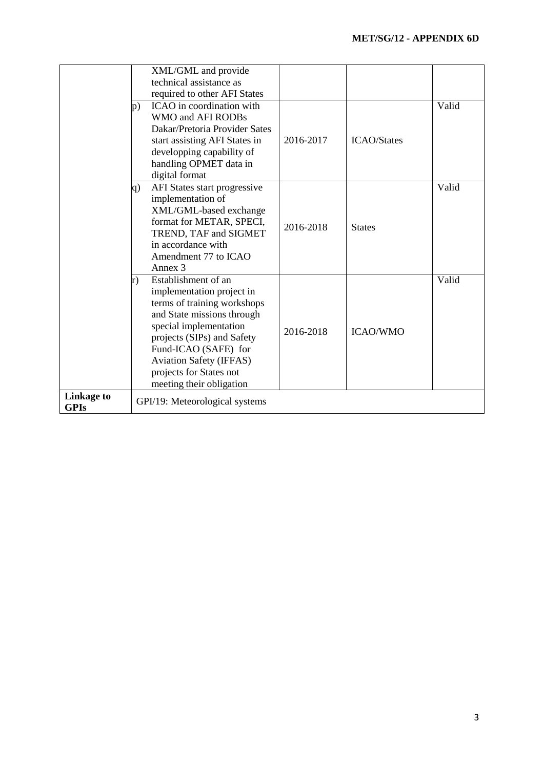|                                  | XML/GML and provide<br>technical assistance as<br>required to other AFI States                                                                                                                                                                                                               |           |                    |       |
|----------------------------------|----------------------------------------------------------------------------------------------------------------------------------------------------------------------------------------------------------------------------------------------------------------------------------------------|-----------|--------------------|-------|
|                                  | ICAO in coordination with<br>$\mathbf{p}$ )<br>WMO and AFI RODBs<br>Dakar/Pretoria Provider Sates<br>start assisting AFI States in<br>developping capability of<br>handling OPMET data in<br>digital format                                                                                  | 2016-2017 | <b>ICAO/States</b> | Valid |
|                                  | AFI States start progressive<br>$\mathbf{q}$<br>implementation of<br>XML/GML-based exchange<br>format for METAR, SPECI,<br>TREND, TAF and SIGMET<br>in accordance with<br>Amendment 77 to ICAO<br>Annex 3                                                                                    | 2016-2018 | <b>States</b>      | Valid |
|                                  | Establishment of an<br>r)<br>implementation project in<br>terms of training workshops<br>and State missions through<br>special implementation<br>projects (SIPs) and Safety<br>Fund-ICAO (SAFE) for<br><b>Aviation Safety (IFFAS)</b><br>projects for States not<br>meeting their obligation | 2016-2018 | <b>ICAO/WMO</b>    | Valid |
| <b>Linkage to</b><br><b>GPIs</b> | GPI/19: Meteorological systems                                                                                                                                                                                                                                                               |           |                    |       |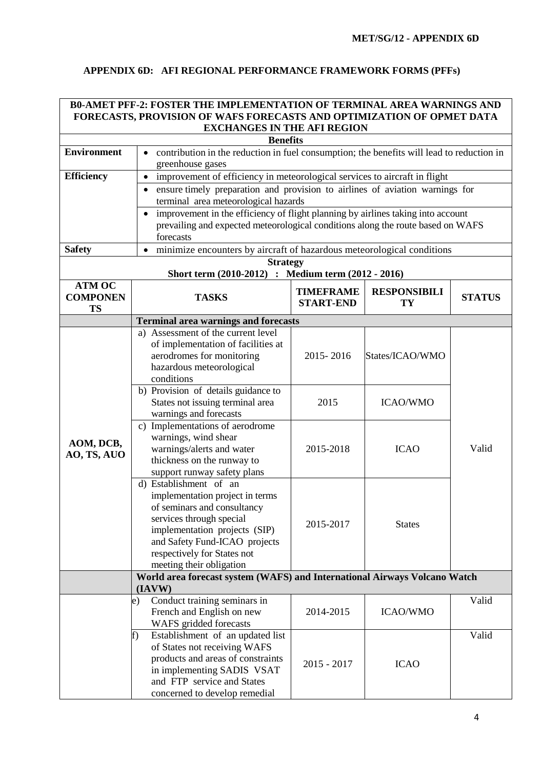## **APPENDIX 6D: AFI REGIONAL PERFORMANCE FRAMEWORK FORMS (PFFs)**

|                                                                                                                                                 | <b>B0-AMET PFF-2: FOSTER THE IMPLEMENTATION OF TERMINAL AREA WARNINGS AND</b>                  |                            |                     |               |  |  |
|-------------------------------------------------------------------------------------------------------------------------------------------------|------------------------------------------------------------------------------------------------|----------------------------|---------------------|---------------|--|--|
|                                                                                                                                                 | FORECASTS, PROVISION OF WAFS FORECASTS AND OPTIMIZATION OF OPMET DATA                          |                            |                     |               |  |  |
|                                                                                                                                                 | <b>EXCHANGES IN THE AFI REGION</b>                                                             |                            |                     |               |  |  |
| <b>Benefits</b><br><b>Environment</b><br>contribution in the reduction in fuel consumption; the benefits will lead to reduction in<br>$\bullet$ |                                                                                                |                            |                     |               |  |  |
|                                                                                                                                                 | greenhouse gases                                                                               |                            |                     |               |  |  |
| <b>Efficiency</b>                                                                                                                               | improvement of efficiency in meteorological services to aircraft in flight                     |                            |                     |               |  |  |
|                                                                                                                                                 | ensure timely preparation and provision to airlines of aviation warnings for<br>$\bullet$      |                            |                     |               |  |  |
|                                                                                                                                                 | terminal area meteorological hazards                                                           |                            |                     |               |  |  |
|                                                                                                                                                 | improvement in the efficiency of flight planning by airlines taking into account               |                            |                     |               |  |  |
|                                                                                                                                                 | prevailing and expected meteorological conditions along the route based on WAFS<br>forecasts   |                            |                     |               |  |  |
| <b>Safety</b>                                                                                                                                   | minimize encounters by aircraft of hazardous meteorological conditions<br>$\bullet$            |                            |                     |               |  |  |
|                                                                                                                                                 | <b>Strategy</b>                                                                                |                            |                     |               |  |  |
|                                                                                                                                                 | Short term (2010-2012) : Medium term (2012 - 2016)                                             |                            |                     |               |  |  |
| <b>ATM OC</b>                                                                                                                                   |                                                                                                | <b>TIMEFRAME</b>           | <b>RESPONSIBILI</b> |               |  |  |
| <b>COMPONEN</b>                                                                                                                                 | <b>TASKS</b>                                                                                   | <b>START-END</b>           | TY                  | <b>STATUS</b> |  |  |
| <b>TS</b>                                                                                                                                       | <b>Terminal area warnings and forecasts</b>                                                    |                            |                     |               |  |  |
|                                                                                                                                                 | a) Assessment of the current level                                                             |                            |                     |               |  |  |
|                                                                                                                                                 | of implementation of facilities at                                                             |                            |                     |               |  |  |
|                                                                                                                                                 | aerodromes for monitoring                                                                      | 2015-2016                  | States/ICAO/WMO     |               |  |  |
|                                                                                                                                                 | hazardous meteorological                                                                       |                            |                     |               |  |  |
|                                                                                                                                                 | conditions                                                                                     |                            |                     |               |  |  |
|                                                                                                                                                 | b) Provision of details guidance to<br>States not issuing terminal area                        | 2015                       | <b>ICAO/WMO</b>     |               |  |  |
|                                                                                                                                                 | warnings and forecasts                                                                         |                            |                     |               |  |  |
|                                                                                                                                                 | c) Implementations of aerodrome                                                                |                            |                     |               |  |  |
| AOM, DCB,                                                                                                                                       | warnings, wind shear                                                                           |                            |                     |               |  |  |
| AO, TS, AUO                                                                                                                                     | warnings/alerts and water<br>2015-2018<br><b>ICAO</b>                                          |                            |                     | Valid         |  |  |
|                                                                                                                                                 | thickness on the runway to                                                                     |                            |                     |               |  |  |
|                                                                                                                                                 | support runway safety plans<br>d) Establishment of an                                          |                            |                     |               |  |  |
|                                                                                                                                                 | implementation project in terms                                                                |                            |                     |               |  |  |
|                                                                                                                                                 | of seminars and consultancy                                                                    |                            |                     |               |  |  |
|                                                                                                                                                 | services through special                                                                       | 2015-2017<br><b>States</b> |                     |               |  |  |
|                                                                                                                                                 | implementation projects (SIP)                                                                  |                            |                     |               |  |  |
|                                                                                                                                                 | and Safety Fund-ICAO projects                                                                  |                            |                     |               |  |  |
|                                                                                                                                                 | respectively for States not                                                                    |                            |                     |               |  |  |
|                                                                                                                                                 | meeting their obligation                                                                       |                            |                     |               |  |  |
|                                                                                                                                                 | World area forecast system (WAFS) and International Airways Volcano Watch<br>$(\mathbf{IAVW})$ |                            |                     |               |  |  |
|                                                                                                                                                 | Conduct training seminars in<br>e)                                                             |                            |                     | Valid         |  |  |
|                                                                                                                                                 | French and English on new                                                                      | 2014-2015                  | <b>ICAO/WMO</b>     |               |  |  |
|                                                                                                                                                 | WAFS gridded forecasts                                                                         |                            |                     |               |  |  |
|                                                                                                                                                 | Establishment of an updated list<br>f)                                                         |                            |                     | Valid         |  |  |
|                                                                                                                                                 | of States not receiving WAFS                                                                   |                            |                     |               |  |  |
|                                                                                                                                                 | products and areas of constraints<br>in implementing SADIS VSAT                                | $2015 - 2017$              | <b>ICAO</b>         |               |  |  |
|                                                                                                                                                 | and FTP service and States                                                                     |                            |                     |               |  |  |
|                                                                                                                                                 | concerned to develop remedial                                                                  |                            |                     |               |  |  |